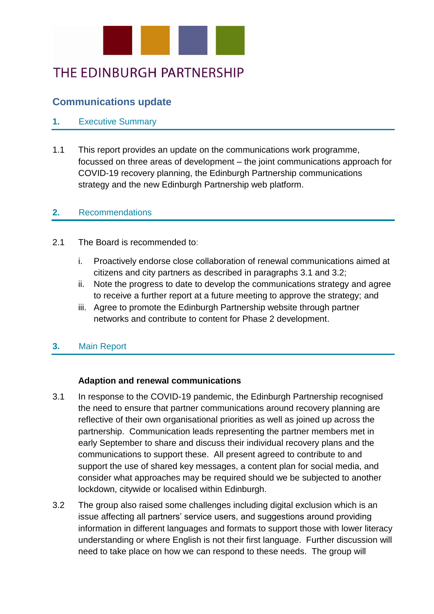

# THE EDINBURGH PARTNERSHIP

## **Communications update**

## **1.** Executive Summary

1.1 This report provides an update on the communications work programme, focussed on three areas of development – the joint communications approach for COVID-19 recovery planning, the Edinburgh Partnership communications strategy and the new Edinburgh Partnership web platform.

### **2.** Recommendations

- 2.1 The Board is recommended to:
	- i. Proactively endorse close collaboration of renewal communications aimed at citizens and city partners as described in paragraphs 3.1 and 3.2;
	- ii. Note the progress to date to develop the communications strategy and agree to receive a further report at a future meeting to approve the strategy; and
	- iii. Agree to promote the Edinburgh Partnership website through partner networks and contribute to content for Phase 2 development.

## **3.** Main Report

### **Adaption and renewal communications**

- 3.1 In response to the COVID-19 pandemic, the Edinburgh Partnership recognised the need to ensure that partner communications around recovery planning are reflective of their own organisational priorities as well as joined up across the partnership. Communication leads representing the partner members met in early September to share and discuss their individual recovery plans and the communications to support these. All present agreed to contribute to and support the use of shared key messages, a content plan for social media, and consider what approaches may be required should we be subjected to another lockdown, citywide or localised within Edinburgh.
- 3.2 The group also raised some challenges including digital exclusion which is an issue affecting all partners' service users, and suggestions around providing information in different languages and formats to support those with lower literacy understanding or where English is not their first language. Further discussion will need to take place on how we can respond to these needs. The group will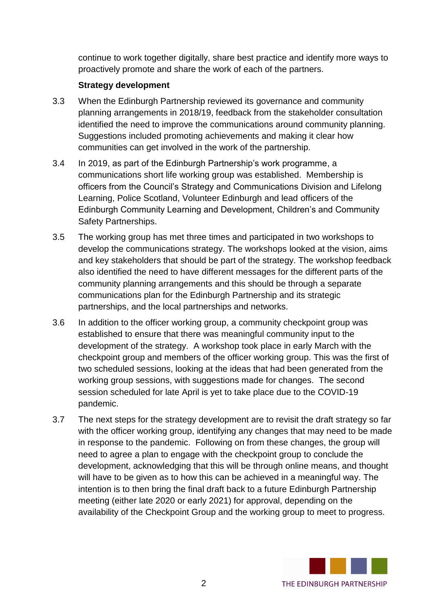continue to work together digitally, share best practice and identify more ways to proactively promote and share the work of each of the partners.

## **Strategy development**

- 3.3 When the Edinburgh Partnership reviewed its governance and community planning arrangements in 2018/19, feedback from the stakeholder consultation identified the need to improve the communications around community planning. Suggestions included promoting achievements and making it clear how communities can get involved in the work of the partnership.
- 3.4 In 2019, as part of the Edinburgh Partnership's work programme, a communications short life working group was established. Membership is officers from the Council's Strategy and Communications Division and Lifelong Learning, Police Scotland, Volunteer Edinburgh and lead officers of the Edinburgh Community Learning and Development, Children's and Community Safety Partnerships.
- 3.5 The working group has met three times and participated in two workshops to develop the communications strategy. The workshops looked at the vision, aims and key stakeholders that should be part of the strategy. The workshop feedback also identified the need to have different messages for the different parts of the community planning arrangements and this should be through a separate communications plan for the Edinburgh Partnership and its strategic partnerships, and the local partnerships and networks.
- 3.6 In addition to the officer working group, a community checkpoint group was established to ensure that there was meaningful community input to the development of the strategy. A workshop took place in early March with the checkpoint group and members of the officer working group. This was the first of two scheduled sessions, looking at the ideas that had been generated from the working group sessions, with suggestions made for changes. The second session scheduled for late April is yet to take place due to the COVID-19 pandemic.
- 3.7 The next steps for the strategy development are to revisit the draft strategy so far with the officer working group, identifying any changes that may need to be made in response to the pandemic. Following on from these changes, the group will need to agree a plan to engage with the checkpoint group to conclude the development, acknowledging that this will be through online means, and thought will have to be given as to how this can be achieved in a meaningful way. The intention is to then bring the final draft back to a future Edinburgh Partnership meeting (either late 2020 or early 2021) for approval, depending on the availability of the Checkpoint Group and the working group to meet to progress.